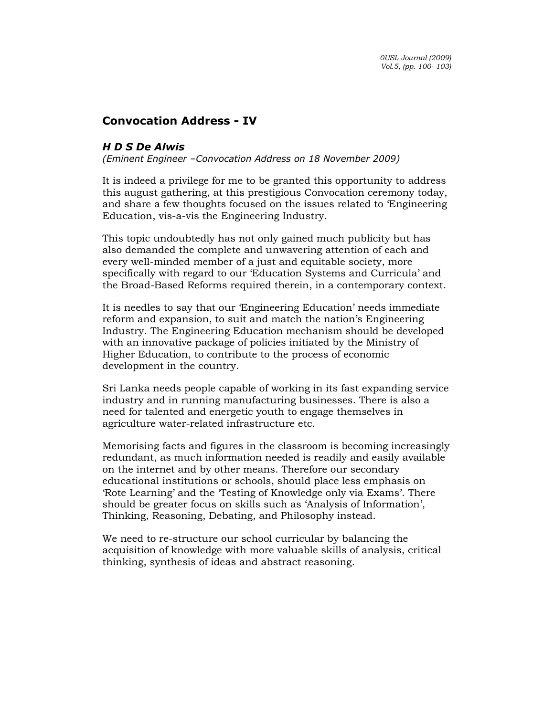## Convocation Address - IV

## H D S De Alwis

(Eminent Engineer –Convocation Address on 18 November 2009)

It is indeed a privilege for me to be granted this opportunity to address this august gathering, at this prestigious Convocation ceremony today, and share a few thoughts focused on the issues related to 'Engineering Education, vis-a-vis the Engineering Industry.

This topic undoubtedly has not only gained much publicity but has also demanded the complete and unwavering attention of each and every well-minded member of a just and equitable society, more specifically with regard to our 'Education Systems and Curricula' and the Broad-Based Reforms required therein, in a contemporary context.

It is needles to say that our 'Engineering Education' needs immediate reform and expansion, to suit and match the nation's Engineering Industry. The Engineering Education mechanism should be developed with an innovative package of policies initiated by the Ministry of Higher Education, to contribute to the process of economic development in the country.

Sri Lanka needs people capable of working in its fast expanding service industry and in running manufacturing businesses. There is also a need for talented and energetic youth to engage themselves in agriculture water-related infrastructure etc.

Memorising facts and figures in the classroom is becoming increasingly redundant, as much information needed is readily and easily available on the internet and by other means. Therefore our secondary educational institutions or schools, should place less emphasis on 'Rote Learning' and the 'Testing of Knowledge only via Exams'. There should be greater focus on skills such as 'Analysis of Information', Thinking, Reasoning, Debating, and Philosophy instead.

We need to re-structure our school curricular by balancing the acquisition of knowledge with more valuable skills of analysis, critical thinking, synthesis of ideas and abstract reasoning.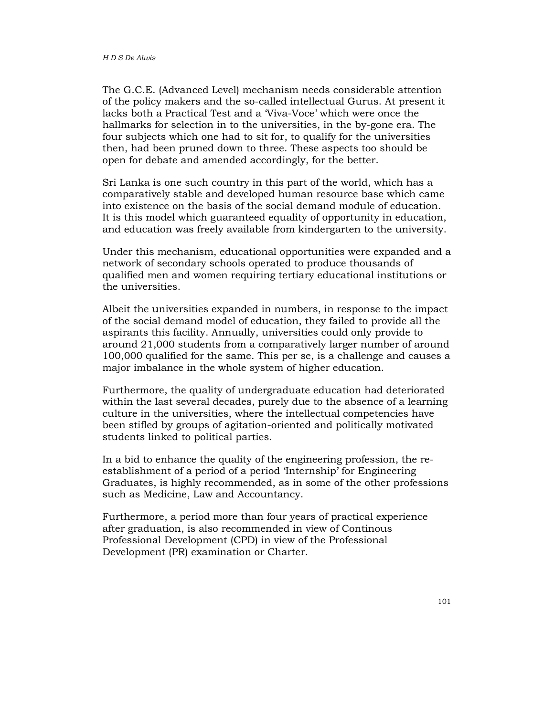The G.C.E. (Advanced Level) mechanism needs considerable attention of the policy makers and the so-called intellectual Gurus. At present it lacks both a Practical Test and a 'Viva-Voce' which were once the hallmarks for selection in to the universities, in the by-gone era. The four subjects which one had to sit for, to qualify for the universities then, had been pruned down to three. These aspects too should be open for debate and amended accordingly, for the better.

Sri Lanka is one such country in this part of the world, which has a comparatively stable and developed human resource base which came into existence on the basis of the social demand module of education. It is this model which guaranteed equality of opportunity in education, and education was freely available from kindergarten to the university.

Under this mechanism, educational opportunities were expanded and a network of secondary schools operated to produce thousands of qualified men and women requiring tertiary educational institutions or the universities.

Albeit the universities expanded in numbers, in response to the impact of the social demand model of education, they failed to provide all the aspirants this facility. Annually, universities could only provide to around 21,000 students from a comparatively larger number of around 100,000 qualified for the same. This per se, is a challenge and causes a major imbalance in the whole system of higher education.

Furthermore, the quality of undergraduate education had deteriorated within the last several decades, purely due to the absence of a learning culture in the universities, where the intellectual competencies have been stifled by groups of agitation-oriented and politically motivated students linked to political parties.

In a bid to enhance the quality of the engineering profession, the reestablishment of a period of a period 'Internship' for Engineering Graduates, is highly recommended, as in some of the other professions such as Medicine, Law and Accountancy.

Furthermore, a period more than four years of practical experience after graduation, is also recommended in view of Continous Professional Development (CPD) in view of the Professional Development (PR) examination or Charter.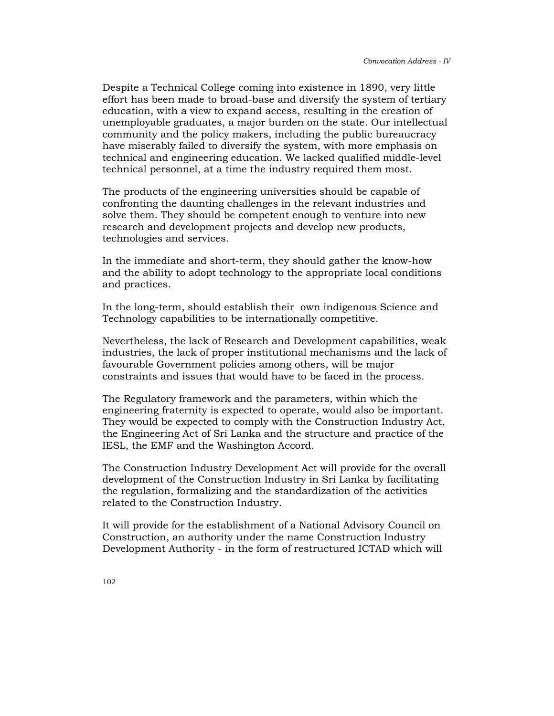Despite a Technical College coming into existence in 1890, very little effort has been made to broad-base and diversify the system of tertiary education, with a view to expand access, resulting in the creation of unemployable graduates, a major burden on the state. Our intellectual community and the policy makers, including the public bureaucracy have miserably failed to diversify the system, with more emphasis on technical and engineering education. We lacked qualified middle-level technical personnel, at a time the industry required them most.

The products of the engineering universities should be capable of confronting the daunting challenges in the relevant industries and solve them. They should be competent enough to venture into new research and development projects and develop new products, technologies and services.

In the immediate and short-term, they should gather the know-how and the ability to adopt technology to the appropriate local conditions and practices.

In the long-term, should establish their own indigenous Science and Technology capabilities to be internationally competitive.

Nevertheless, the lack of Research and Development capabilities, weak industries, the lack of proper institutional mechanisms and the lack of favourable Government policies among others, will be major constraints and issues that would have to be faced in the process.

The Regulatory framework and the parameters, within which the engineering fraternity is expected to operate, would also be important. They would be expected to comply with the Construction Industry Act, the Engineering Act of Sri Lanka and the structure and practice of the IESL, the EMF and the Washington Accord.

The Construction Industry Development Act will provide for the overall development of the Construction Industry in Sri Lanka by facilitating the regulation, formalizing and the standardization of the activities related to the Construction Industry.

It will provide for the establishment of a National Advisory Council on Construction, an authority under the name Construction Industry Development Authority - in the form of restructured ICTAD which will